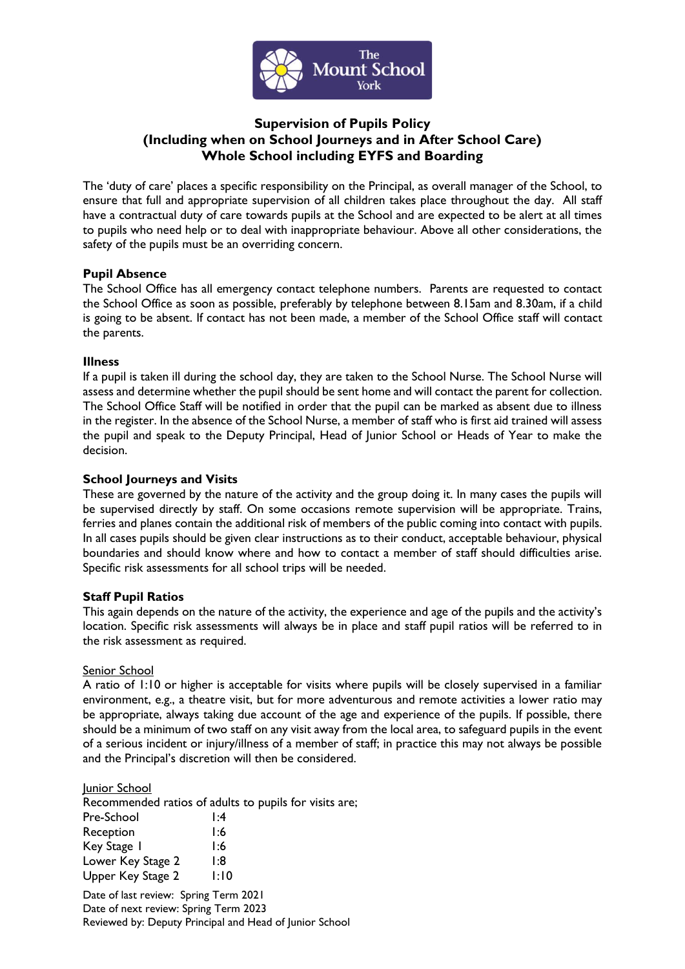

# **Supervision of Pupils Policy (Including when on School Journeys and in After School Care) Whole School including EYFS and Boarding**

The 'duty of care' places a specific responsibility on the Principal, as overall manager of the School, to ensure that full and appropriate supervision of all children takes place throughout the day. All staff have a contractual duty of care towards pupils at the School and are expected to be alert at all times to pupils who need help or to deal with inappropriate behaviour. Above all other considerations, the safety of the pupils must be an overriding concern.

# **Pupil Absence**

The School Office has all emergency contact telephone numbers. Parents are requested to contact the School Office as soon as possible, preferably by telephone between 8.15am and 8.30am, if a child is going to be absent. If contact has not been made, a member of the School Office staff will contact the parents.

# **Illness**

If a pupil is taken ill during the school day, they are taken to the School Nurse. The School Nurse will assess and determine whether the pupil should be sent home and will contact the parent for collection. The School Office Staff will be notified in order that the pupil can be marked as absent due to illness in the register. In the absence of the School Nurse, a member of staff who is first aid trained will assess the pupil and speak to the Deputy Principal, Head of Junior School or Heads of Year to make the decision.

# **School Journeys and Visits**

These are governed by the nature of the activity and the group doing it. In many cases the pupils will be supervised directly by staff. On some occasions remote supervision will be appropriate. Trains, ferries and planes contain the additional risk of members of the public coming into contact with pupils. In all cases pupils should be given clear instructions as to their conduct, acceptable behaviour, physical boundaries and should know where and how to contact a member of staff should difficulties arise. Specific risk assessments for all school trips will be needed.

# **Staff Pupil Ratios**

This again depends on the nature of the activity, the experience and age of the pupils and the activity's location. Specific risk assessments will always be in place and staff pupil ratios will be referred to in the risk assessment as required.

## Senior School

A ratio of 1:10 or higher is acceptable for visits where pupils will be closely supervised in a familiar environment, e.g., a theatre visit, but for more adventurous and remote activities a lower ratio may be appropriate, always taking due account of the age and experience of the pupils. If possible, there should be a minimum of two staff on any visit away from the local area, to safeguard pupils in the event of a serious incident or injury/illness of a member of staff; in practice this may not always be possible and the Principal's discretion will then be considered.

## Junior School

Recommended ratios of adults to pupils for visits are;

| Pre-School        | 1:4  |
|-------------------|------|
| Reception         | 1:6  |
| Key Stage 1       | 1:6  |
| Lower Key Stage 2 | l:8  |
| Upper Key Stage 2 | l:10 |

Date of last review: Spring Term 2021 Date of next review: Spring Term 2023 Reviewed by: Deputy Principal and Head of Junior School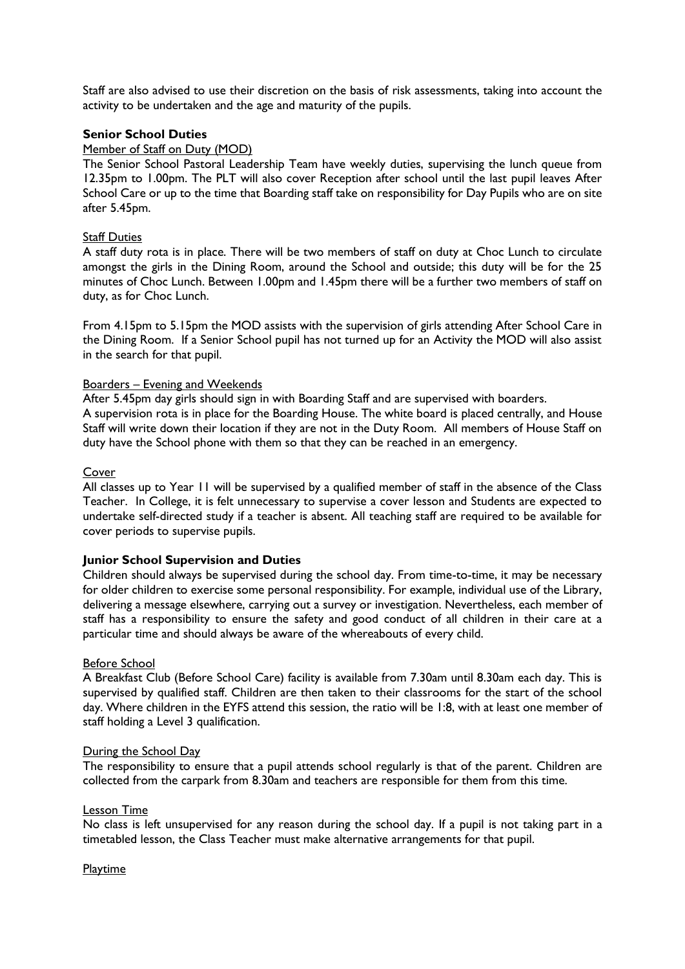Staff are also advised to use their discretion on the basis of risk assessments, taking into account the activity to be undertaken and the age and maturity of the pupils.

## **Senior School Duties**

## Member of Staff on Duty (MOD)

The Senior School Pastoral Leadership Team have weekly duties, supervising the lunch queue from 12.35pm to 1.00pm. The PLT will also cover Reception after school until the last pupil leaves After School Care or up to the time that Boarding staff take on responsibility for Day Pupils who are on site after 5.45pm.

### Staff Duties

A staff duty rota is in place. There will be two members of staff on duty at Choc Lunch to circulate amongst the girls in the Dining Room, around the School and outside; this duty will be for the 25 minutes of Choc Lunch. Between 1.00pm and 1.45pm there will be a further two members of staff on duty, as for Choc Lunch.

From 4.15pm to 5.15pm the MOD assists with the supervision of girls attending After School Care in the Dining Room. If a Senior School pupil has not turned up for an Activity the MOD will also assist in the search for that pupil.

#### Boarders – Evening and Weekends

After 5.45pm day girls should sign in with Boarding Staff and are supervised with boarders. A supervision rota is in place for the Boarding House. The white board is placed centrally, and House Staff will write down their location if they are not in the Duty Room. All members of House Staff on duty have the School phone with them so that they can be reached in an emergency.

#### **Cover**

All classes up to Year 11 will be supervised by a qualified member of staff in the absence of the Class Teacher. In College, it is felt unnecessary to supervise a cover lesson and Students are expected to undertake self-directed study if a teacher is absent. All teaching staff are required to be available for cover periods to supervise pupils.

## **Junior School Supervision and Duties**

Children should always be supervised during the school day. From time-to-time, it may be necessary for older children to exercise some personal responsibility. For example, individual use of the Library, delivering a message elsewhere, carrying out a survey or investigation. Nevertheless, each member of staff has a responsibility to ensure the safety and good conduct of all children in their care at a particular time and should always be aware of the whereabouts of every child.

## Before School

A Breakfast Club (Before School Care) facility is available from 7.30am until 8.30am each day. This is supervised by qualified staff. Children are then taken to their classrooms for the start of the school day. Where children in the EYFS attend this session, the ratio will be 1:8, with at least one member of staff holding a Level 3 qualification.

#### During the School Day

The responsibility to ensure that a pupil attends school regularly is that of the parent. Children are collected from the carpark from 8.30am and teachers are responsible for them from this time.

## Lesson Time

No class is left unsupervised for any reason during the school day. If a pupil is not taking part in a timetabled lesson, the Class Teacher must make alternative arrangements for that pupil.

#### **Playtime**